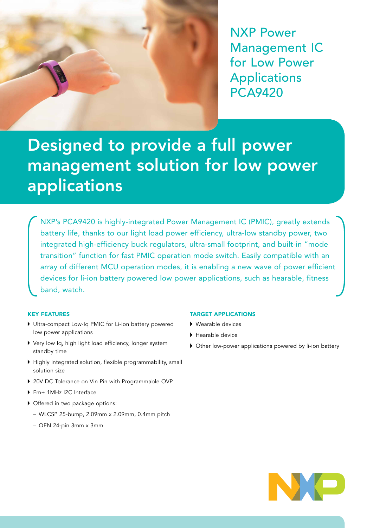

NXP Power Management IC for Low Power Applications PCA9420

# Designed to provide a full power management solution for low power applications

NXP's PCA9420 is highly-integrated Power Management IC (PMIC), greatly extends battery life, thanks to our light load power efficiency, ultra-low standby power, two integrated high-efficiency buck regulators, ultra-small footprint, and built-in "mode transition" function for fast PMIC operation mode switch. Easily compatible with an array of different MCU operation modes, it is enabling a new wave of power efficient devices for li-ion battery powered low power applications, such as hearable, fitness band, watch.

# KEY FEATURES

- Ultra-compact Low-Iq PMIC for Li-ion battery powered low power applications
- Very low Iq, high light load efficiency, longer system standby time
- Highly integrated solution, flexible programmability, small solution size
- ▶ 20V DC Tolerance on Vin Pin with Programmable OVP
- ▶ Fm+ 1MHz I2C Interface
- Offered in two package options:
	- WLCSP 25-bump, 2.09mm x 2.09mm, 0.4mm pitch
	- QFN 24-pin 3mm x 3mm

# TARGET APPLICATIONS

- ▶ Wearable devices
- Hearable device
- Other low-power applications powered by li-ion battery